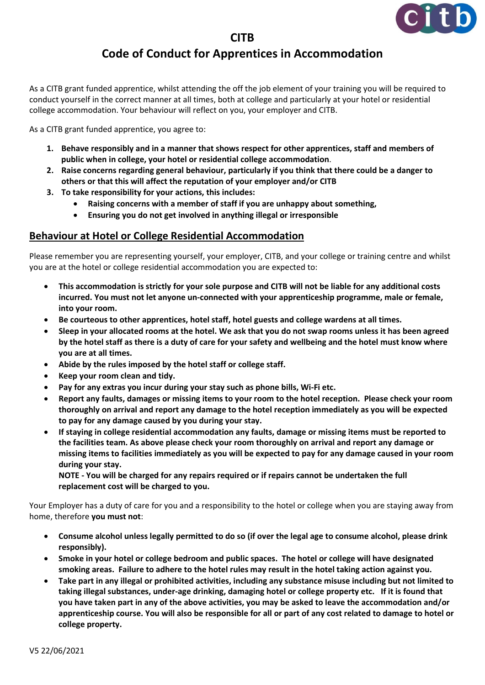

## **CITB Code of Conduct for Apprentices in Accommodation**

As a CITB grant funded apprentice, whilst attending the off the job element of your training you will be required to conduct yourself in the correct manner at all times, both at college and particularly at your hotel or residential college accommodation. Your behaviour will reflect on you, your employer and CITB.

As a CITB grant funded apprentice, you agree to:

- **1. Behave responsibly and in a manner that shows respect for other apprentices, staff and members of public when in college, your hotel or residential college accommodation**.
- **2. Raise concerns regarding general behaviour, particularly if you think that there could be a danger to others or that this will affect the reputation of your employer and/or CITB**
- **3. To take responsibility for your actions, this includes:**
	- **Raising concerns with a member of staff if you are unhappy about something,**
	- **Ensuring you do not get involved in anything illegal or irresponsible**

## **Behaviour at Hotel or College Residential Accommodation**

Please remember you are representing yourself, your employer, CITB, and your college or training centre and whilst you are at the hotel or college residential accommodation you are expected to:

- **This accommodation is strictly for your sole purpose and CITB will not be liable for any additional costs incurred. You must not let anyone un-connected with your apprenticeship programme, male or female, into your room.**
- **Be courteous to other apprentices, hotel staff, hotel guests and college wardens at all times.**
- **Sleep in your allocated rooms at the hotel. We ask that you do not swap rooms unless it has been agreed by the hotel staff as there is a duty of care for your safety and wellbeing and the hotel must know where you are at all times.**
- **Abide by the rules imposed by the hotel staff or college staff.**
- **Keep your room clean and tidy.**
- **Pay for any extras you incur during your stay such as phone bills, Wi-Fi etc.**
- **Report any faults, damages or missing items to your room to the hotel reception. Please check your room thoroughly on arrival and report any damage to the hotel reception immediately as you will be expected to pay for any damage caused by you during your stay.**
- **If staying in college residential accommodation any faults, damage or missing items must be reported to the facilities team. As above please check your room thoroughly on arrival and report any damage or missing items to facilities immediately as you will be expected to pay for any damage caused in your room during your stay.**

**NOTE - You will be charged for any repairs required or if repairs cannot be undertaken the full replacement cost will be charged to you.**

Your Employer has a duty of care for you and a responsibility to the hotel or college when you are staying away from home, therefore **you must not**:

- **Consume alcohol unless legally permitted to do so (if over the legal age to consume alcohol, please drink responsibly).**
- **Smoke in your hotel or college bedroom and public spaces. The hotel or college will have designated smoking areas. Failure to adhere to the hotel rules may result in the hotel taking action against you.**
- **Take part in any illegal or prohibited activities, including any substance misuse including but not limited to taking illegal substances, under-age drinking, damaging hotel or college property etc. If it is found that you have taken part in any of the above activities, you may be asked to leave the accommodation and/or apprenticeship course. You will also be responsible for all or part of any cost related to damage to hotel or college property.**